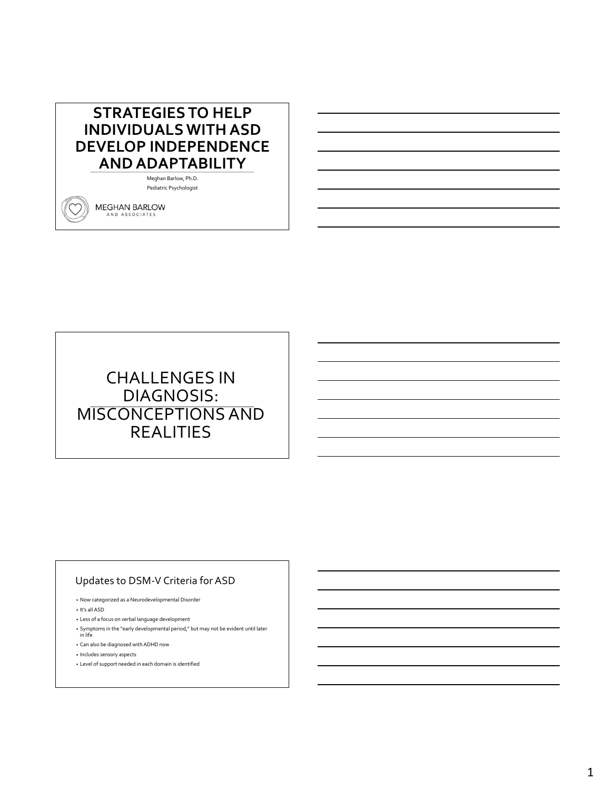## **STRATEGIES TO HELP INDIVIDUALS WITH ASD DEVELOP INDEPENDENCE AND ADAPTABILITY**

Meghan Barlow, Ph.D. Pediatric Psychologist

MEGHAN BARLOW AND ASSOCIATES

# CHALLENGES IN DIAGNOSIS: MISCONCEPTIONS AND REALITIES

### Updates to DSM-V Criteria for ASD

• Now categorized as a Neurodevelopmental Disorder

• It's all ASD

• Less of a focus on verbal language development

- Symptoms in the "early developmental period," but may not be evident until later in life
- 
- Can also be diagnosed with ADHD now
- Includes sensory aspects
- Level of support needed in each domain is identified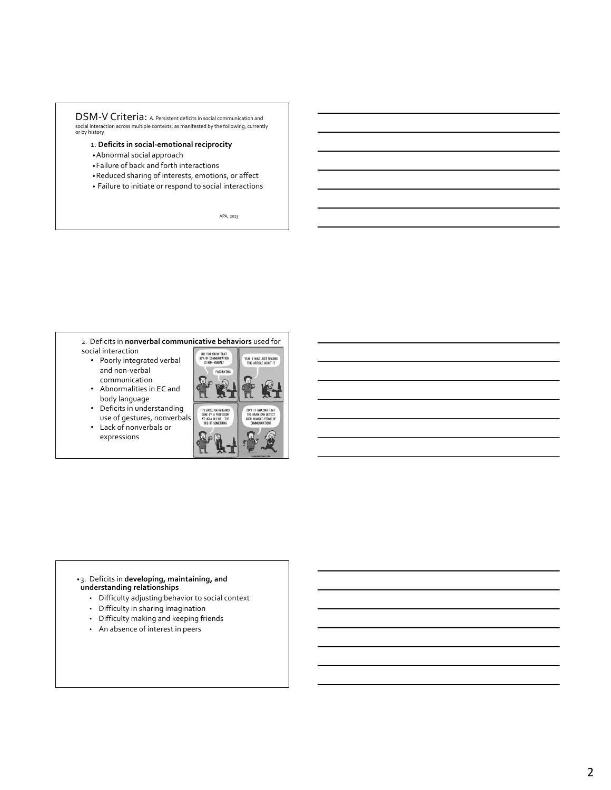### DSM-V Criteria: A. Persistent deficits in social communication and social interaction across multiple contexts, as manifested by the following, currently or by history

- 1. **Deficits in social-emotional reciprocity**
- •Abnormal social approach
- •Failure of back and forth interactions
- •Reduced sharing of interests, emotions, or affect
- Failure to initiate or respond to social interactions

APA, 2013

#### 2. Deficits in **nonverbal communicative behaviors** used for social interaction

- Poorly integrated verbal and non-verbal communication
- Abnormalities in EC and body language
- Deficits in understanding use of gestures, nonverbals
- Lack of nonverbals or expressions



#### •3. Deficits in **developing, maintaining, and understanding relationships**

- Difficulty adjusting behavior to social context
- Difficulty in sharing imagination
- Difficulty making and keeping friends
- An absence of interest in peers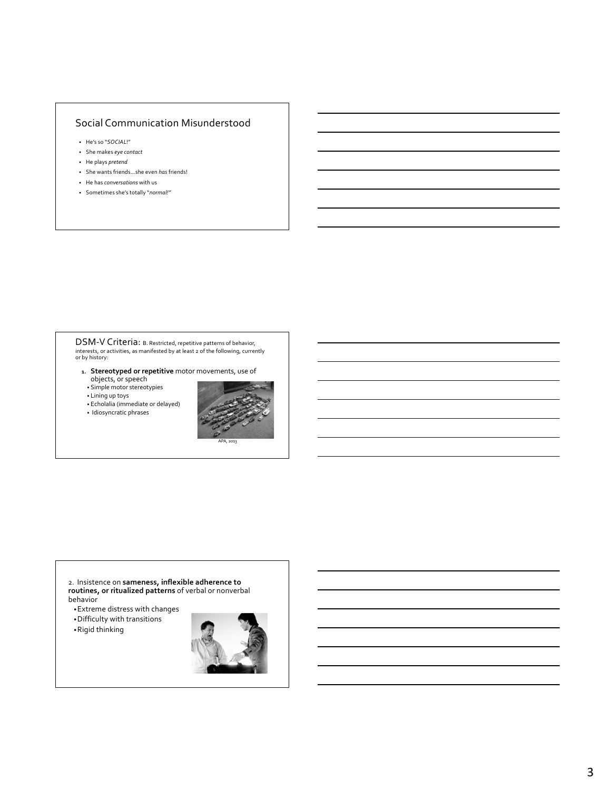### Social Communication Misunderstood

- He's so "*SOCIAL*!"
- She makes *eye contact*
- He plays *pretend*
- She wants friends…she even *has* friends!
- He has *conversations* with us
- Sometimes she's totally "*normal!"*

# DSM-V Criteria: B. Restricted, repetitive patterns of behavior, interests, or activities, as manifested by at least 2 of the following, currently or by history:

- **1. Stereotyped or repetitive** motor movements, use of objects, or speech
- Simple motor stereotypies
- Lining up toys
- Echolalia (immediate or delayed)





2. Insistence on **sameness, inflexible adherence to routines, or ritualized patterns** of verbal or nonverbal behavior

- •Extreme distress with changes
- •Difficulty with transitions
- •Rigid thinking

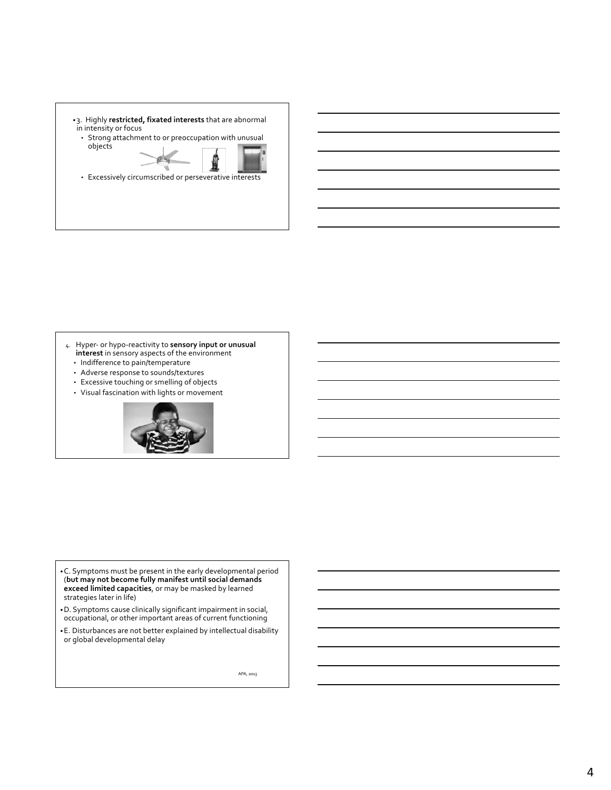- •3. Highly **restricted, fixated interests** that are abnormal in intensity or focus
	- Strong attachment to or preoccupation with unusual objects



• Excessively circumscribed or perseverative interests

- 4. Hyper- or hypo-reactivity to **sensory input or unusual interest** in sensory aspects of the environment
	- Indifference to pain/temperature
	- Adverse response to sounds/textures
	- Excessive touching or smelling of objects • Visual fascination with lights or movement
	-



- •C. Symptoms must be present in the early developmental period (**but may not become fully manifest until social demands exceed limited capacities**, or may be masked by learned strategies later in life)
- •D. Symptoms cause clinically significant impairment in social, occupational, or other important areas of current functioning
- •E. Disturbances are not better explained by intellectual disability or global developmental delay

APA, 2013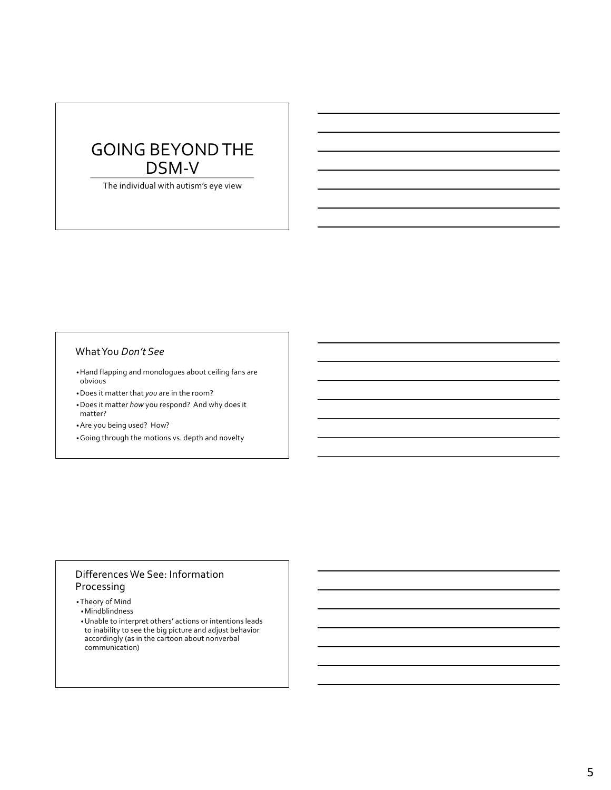# GOING BEYOND THE DSM-V

The individual with autism's eye view

### What You *Don't See*

- •Hand flapping and monologues about ceiling fans are obvious
- •Does it matter that *you* are in the room?
- •Does it matter *how* you respond? And why does it matter?
- •Are you being used? How?
- •Going through the motions vs. depth and novelty

### Differences We See: Information Processing

- •Theory of Mind
- •Mindblindness
- •Unable to interpret others' actions or intentions leads to inability to see the big picture and adjust behavior accordingly (as in the cartoon about nonverbal communication)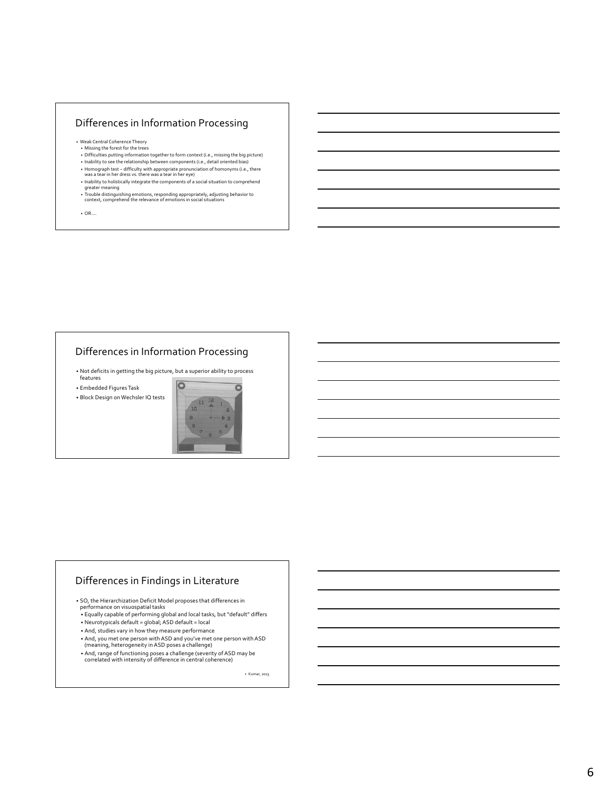### Differences in Information Processing

- Weak Central Coherence Theory Missing the forest for the trees
- Difficulties putting information together to form context (i.e., missing the big picture)
- Inability to see the relationship between components (i.e., detail oriented bias) • Homograph test – difficulty with appropriate pronunciation of homonyms (i.e., there was a tear in her dress vs. there was a tear in her eye)
- Inability to holistically integrate the components of a social situation to comprehend greater meaning • Trouble distinguishing emotions, responding appropriately, adjusting behavior to context, comprehend the relevance of emotions in social situations

• OR….

### Differences in Information Processing

• Not deficits in getting the big picture, but a superior ability to process features

• Embedded Figures Task

• Block Design on Wechsler IQ tests



### Differences in Findings in Literature

• SO, the Hierarchization Deficit Model proposes that differences in

- performance on visuospatial tasks Equally capable of performing global and local tasks, but "default" differs • Neurotypicals default = global; ASD default = local
- And, studies vary in how they measure performance
- And, you met one person with ASD and you've met one person with ASD (meaning, heterogeneity in ASD poses a challenge)
- And, range of functioning poses a challenge (severity of ASD may be correlated with intensity of difference in central coherence)

• Kumar, 2013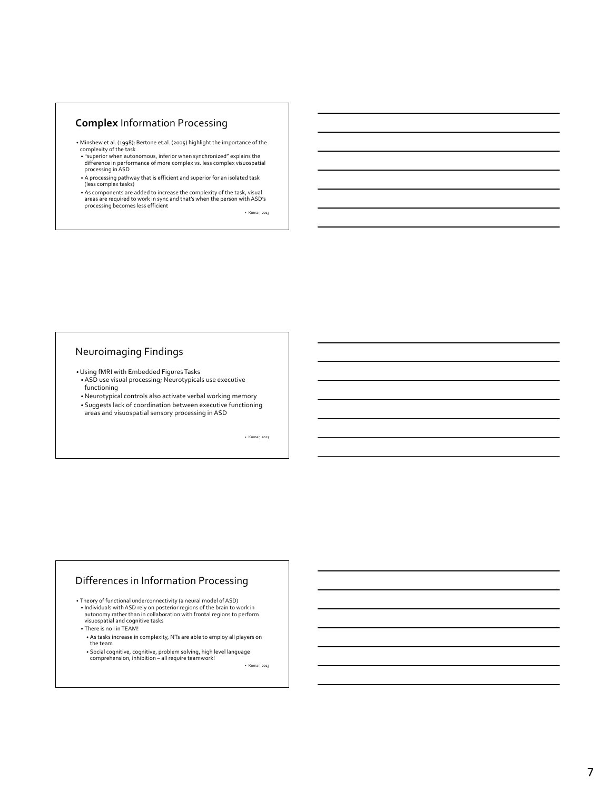### **Complex** Information Processing

- Minshew et al. (1998); Bertone et al. (2005) highlight the importance of the complexity of the task
- "superior when autonomous, inferior when synchronized" explains the difference in performance of more complex vs. less complex visuospatial processing in ASD
- A processing pathway that is efficient and superior for an isolated task (less complex tasks)
- As components are added to increase the complexity of the task, visual areas are required to work in sync and that's when the person with ASD's processing becomes less efficient

• Kumar, 2013

### Neuroimaging Findings

•Using fMRI with Embedded Figures Tasks

- ASD use visual processing; Neurotypicals use executive functioning
- •Neurotypical controls also activate verbal working memory • Suggests lack of coordination between executive functioning areas and visuospatial sensory processing in ASD

• Kumar, 2013

#### Differences in Information Processing

- Theory of functional underconnectivity (a neural model of ASD) • Individuals with ASD rely on posterior regions of the brain to work in autonomy rather than in collaboration with frontal regions to perform visuospatial and cognitive tasks
- There is no I in TEAM!
- As tasks increase in complexity, NTs are able to employ all players on the team
- Social cognitive, cognitive, problem solving, high level language comprehension, inhibition all require teamwork!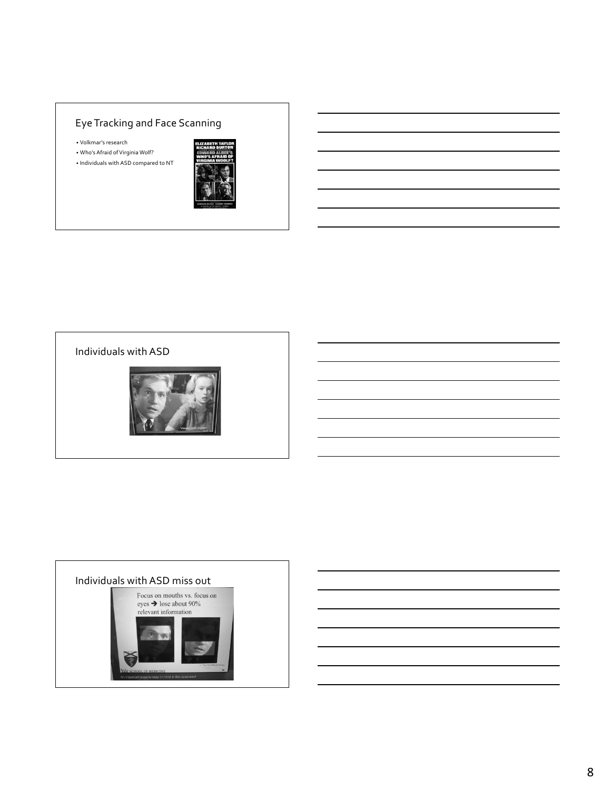## Eye Tracking and Face Scanning

• Volkmar's research

• Who's Afraid of Virginia Wolf? • Individuals with ASD compared to NT



## Individuals with ASD



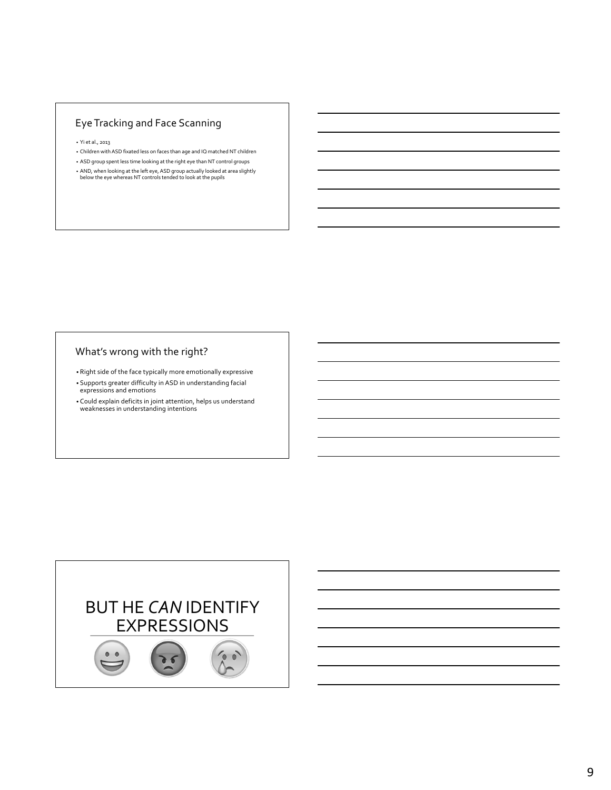## Eye Tracking and Face Scanning

• Yi et al., 2013

- Children with ASD fixated less on faces than age and IQ matched NT children
- ASD group spent less time looking at the right eye than NT control groups
- AND, when looking at the left eye, ASD group actually looked at area slightly below the eye whereas NT controls tended to look at the pupils

### What's wrong with the right?

- Right side of the face typically more emotionally expressive
- Supports greater difficulty in ASD in understanding facial expressions and emotions
- Could explain deficits in joint attention, helps us understand weaknesses in understanding intentions

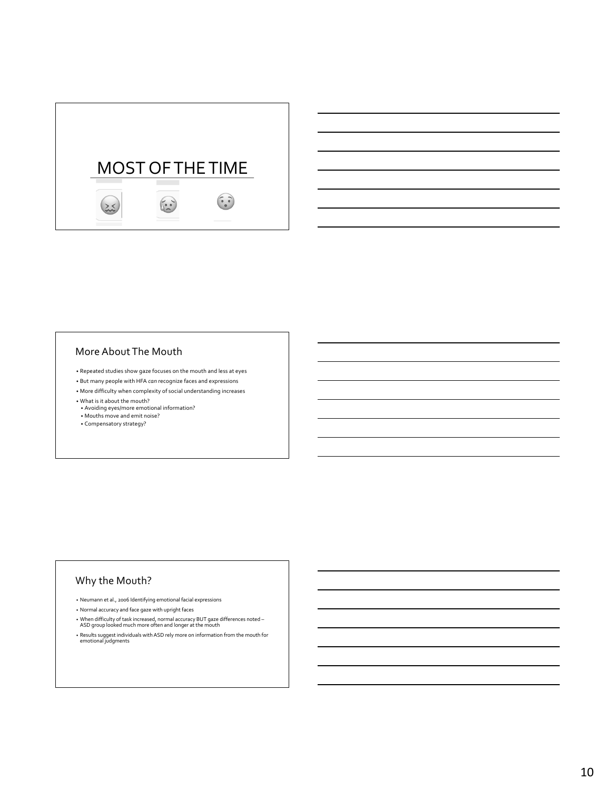

### More About The Mouth

- Repeated studies show gaze focuses on the mouth and less at eyes
- But many people with HFA *can* recognize faces and expressions
- More difficulty when complexity of social understanding increases
- What is it about the mouth?
- Avoiding eyes/more emotional information?
- Mouths move and emit noise?
- Compensatory strategy?

### Why the Mouth?

- Neumann et al., 2006 Identifying emotional facial expressions
- Normal accuracy and face gaze with upright faces
- When difficulty of task increased, normal accuracy BUT gaze differences noted ASD group looked much more often and longer at the mouth
- 
- Results suggest individuals with ASD rely more on information from the mouth for emotional judgments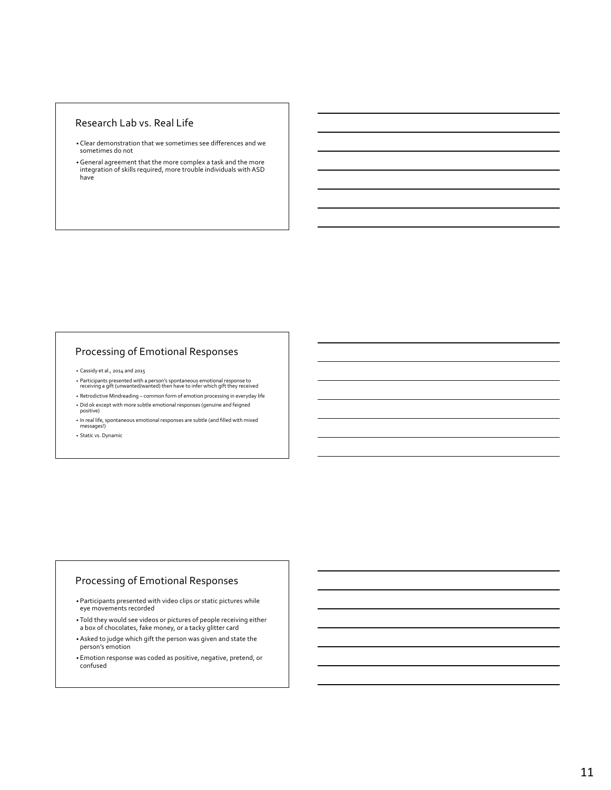### Research Lab vs. Real Life

- Clear demonstration that we sometimes see differences and we sometimes do not
- •General agreement that the more complex a task and the more integration of skills required, more trouble individuals with ASD have

### Processing of Emotional Responses

• Cassidy et al., 2014 and 2015

- Participants presented with a person's spontaneous emotional response to receiving a gift (unwanted/wanted) then have to infer which gift they received
- Retrodictive Mindreading common form of emotion processing in everyday life • Did ok except with more subtle emotional responses (genuine and feigned positive)
- In real life, spontaneous emotional responses are subtle (and filled with mixed messages!)

• Static vs. Dynamic

### Processing of Emotional Responses

- Participants presented with video clips or static pictures while eye movements recorded
- Told they would see videos or pictures of people receiving either a box of chocolates, fake money, or a tacky glitter card
- Asked to judge which gift the person was given and state the person's emotion
- Emotion response was coded as positive, negative, pretend, or confused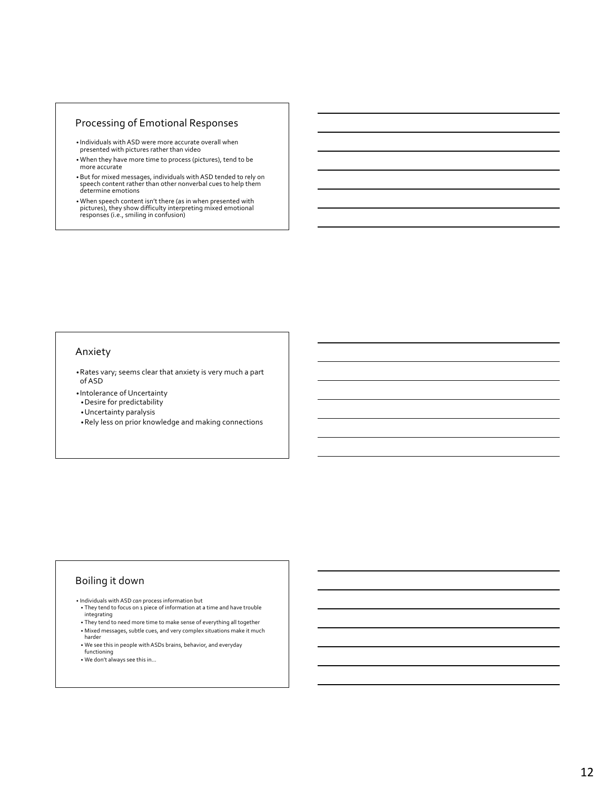### Processing of Emotional Responses

- Individuals with ASD were more accurate overall when presented with pictures rather than video
- When they have more time to process (pictures), tend to be more accurate
- But for mixed messages, individuals with ASD tended to rely on speech content rather than other nonverbal cues to help them determine emotions
- When speech content isn't there (as in when presented with pictures), they show difficulty interpreting mixed emotional responses (i.e., smiling in confusion)

#### Anxiety

- •Rates vary; seems clear that anxiety is very much a part of ASD
- Intolerance of Uncertainty
- •Desire for predictability
- •Uncertainty paralysis
- •Rely less on prior knowledge and making connections

### Boiling it down

- Individuals with ASD *can* process information but
- They tend to focus on 1 piece of information at a time and have trouble integrating • They tend to need more time to make sense of everything all together
- Mixed messages, subtle cues, and very complex situations make it much harder
- We see this in people with ASDs brains, behavior, and everyday functioning
- We don't always see this in…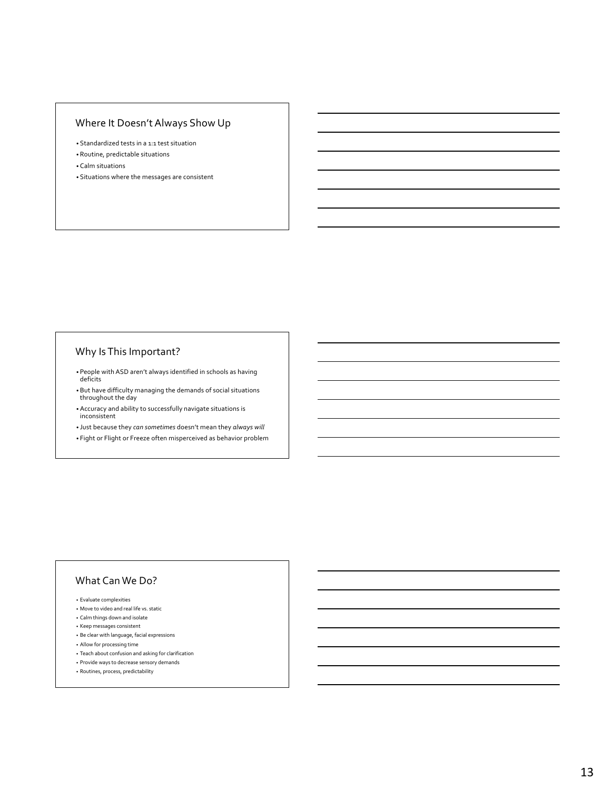### Where It Doesn't Always Show Up

- Standardized tests in a 1:1 test situation
- Routine, predictable situations
- Calm situations
- Situations where the messages are consistent

### Why Is This Important?

- People with ASD aren't always identified in schools as having deficits
- But have difficulty managing the demands of social situations throughout the day
- Accuracy and ability to successfully navigate situations is inconsistent
- Just because they *can sometimes* doesn't mean they *always will*
- Fight or Flight or Freeze often misperceived as behavior problem

### What Can We Do?

- Evaluate complexities
- Move to video and real life vs. static
- Calm things down and isolate
- Keep messages consistent
- Be clear with language, facial expressions
- Allow for processing time
- Teach about confusion and asking for clarification
- Provide ways to decrease sensory demands
- Routines, process, predictability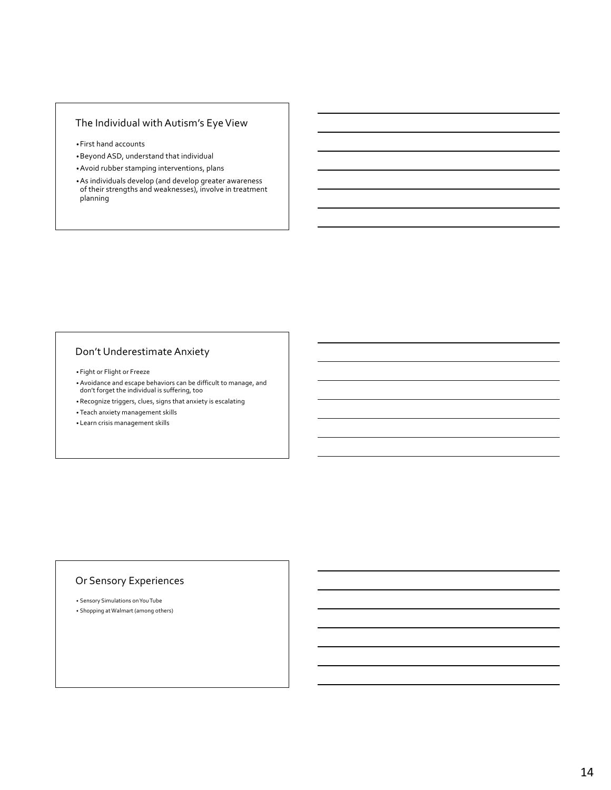### The Individual with Autism's Eye View

- •First hand accounts
- •Beyond ASD, understand that individual
- •Avoid rubber stamping interventions, plans
- •As individuals develop (and develop greater awareness of their strengths and weaknesses), involve in treatment planning

### Don't Underestimate Anxiety

- Fight or Flight or Freeze
- Avoidance and escape behaviors can be difficult to manage, and don't forget the individual is suffering, too
- Recognize triggers, clues, signs that anxiety is escalating
- Teach anxiety management skills
- Learn crisis management skills

#### Or Sensory Experiences

• Sensory Simulations on You Tube • Shopping at Walmart (among others)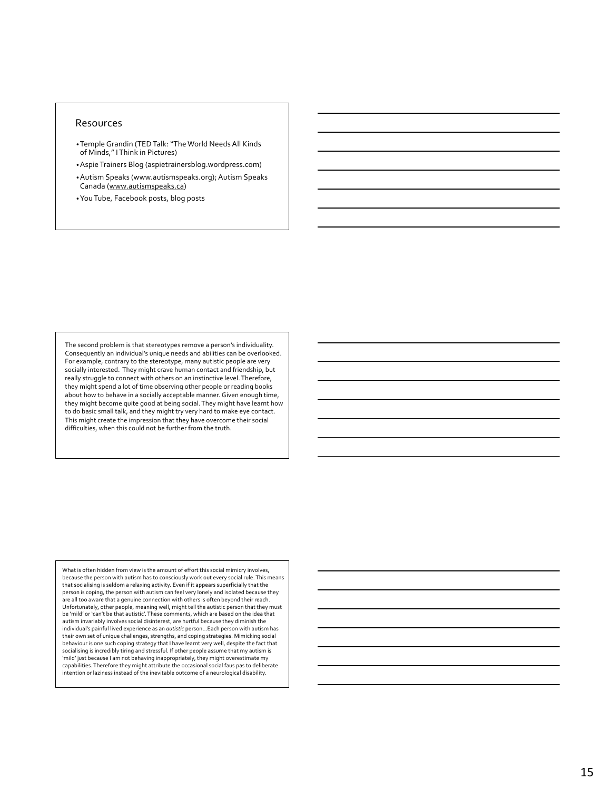#### Resources

- •Temple Grandin (TED Talk: "The World Needs All Kinds of Minds," I Think in Pictures)
- •Aspie Trainers Blog (aspietrainersblog.wordpress.com)
- •Autism Speaks (www.autismspeaks.org); Autism Speaks Canada (www.autismspeaks.ca)
- •You Tube, Facebook posts, blog posts

The second problem is that stereotypes remove a person's individuality. Consequently an individual's unique needs and abilities can be overlooked. For example, contrary to the stereotype, many autistic people are very socially interested. They might crave human contact and friendship, but really struggle to connect with others on an instinctive level. Therefore, they might spend a lot of time observing other people or reading books about how to behave in a socially acceptable manner. Given enough time, they might become quite good at being social. They might have learnt how to do basic small talk, and they might try very hard to make eye contact. This might create the impression that they have overcome their social difficulties, when this could not be further from the truth.

What is often hidden from view is the amount of effort this social mimicry involves, because the person with autism has to consciously work out every social rule. This means that socialising is seldom a relaxing activity. Even if it appears superficially that the person is coping, the person with autism can feel very lonely and isolated because they are all too aware that a genuine connection with others is often beyond their reach. Unfortunately, other people, meaning well, might tell the autistic person that they must be 'mild' or 'can't be that autistic'. These comments, which are based on the idea that autism invariably involves social disinterest, are hurtful because they diminish the individual's painful lived experience as an *autistic* person…Each person with autism has their own set of unique challenges, strengths, and coping strategies. Mimicking social behaviour is one such coping strategy that I have learnt very well, despite the fact that socialising is incredibly tiring and stressful. If other people assume that my autism is 'mild' just because I am not behaving inappropriately, they might overestimate my capabilities. Therefore they might attribute the occasional social faus pas to deliberate intention or laziness instead of the inevitable outcome of a neurological disability.